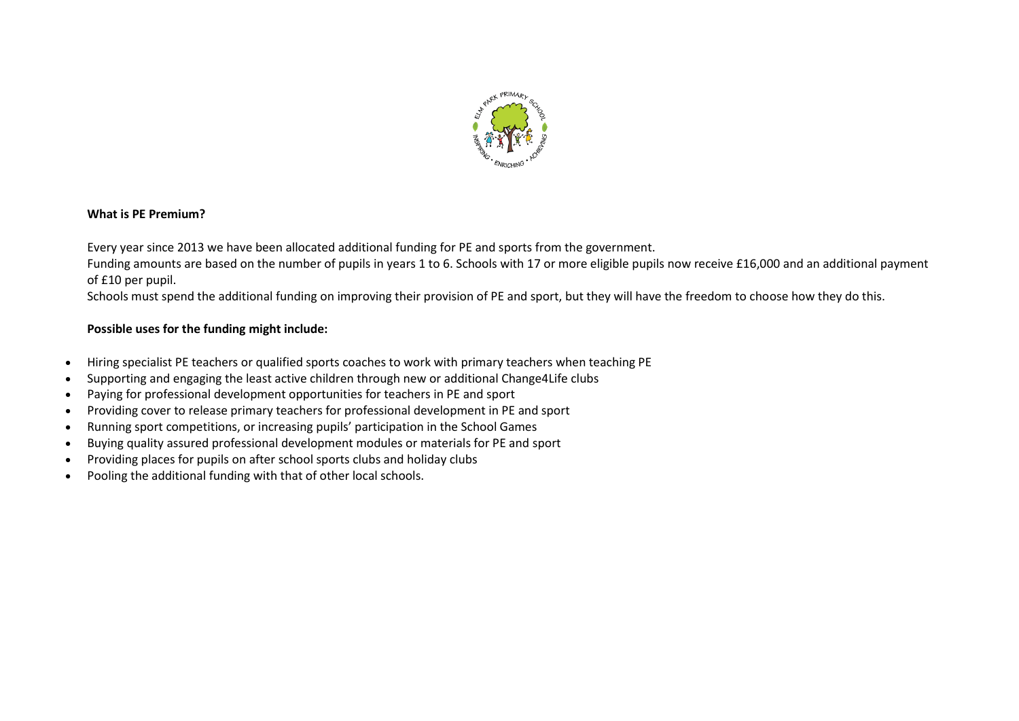

### **What is PE Premium?**

Every year since 2013 we have been allocated additional funding for PE and sports from the government.

Funding amounts are based on the number of pupils in years 1 to 6. Schools with 17 or more eligible pupils now receive £16,000 and an additional payment of £10 per pupil.

Schools must spend the additional funding on improving their provision of PE and sport, but they will have the freedom to choose how they do this.

## **Possible uses for the funding might include:**

- Hiring specialist PE teachers or qualified sports coaches to work with primary teachers when teaching PE
- Supporting and engaging the least active children through new or additional Change4Life clubs
- Paying for professional development opportunities for teachers in PE and sport
- Providing cover to release primary teachers for professional development in PE and sport
- Running sport competitions, or increasing pupils' participation in the School Games
- Buying quality assured professional development modules or materials for PE and sport
- Providing places for pupils on after school sports clubs and holiday clubs
- Pooling the additional funding with that of other local schools.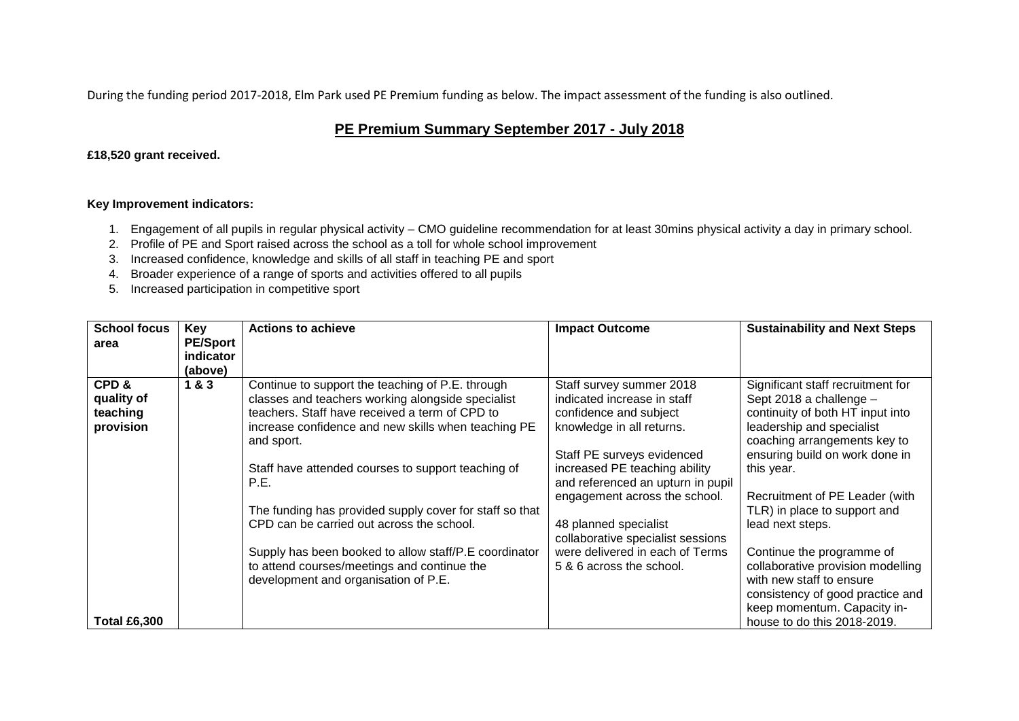During the funding period 2017-2018, Elm Park used PE Premium funding as below. The impact assessment of the funding is also outlined.

# **PE Premium Summary September 2017 - July 2018**

### **£18,520 grant received.**

### **Key Improvement indicators:**

- 1. Engagement of all pupils in regular physical activity CMO guideline recommendation for at least 30mins physical activity a day in primary school.
- 2. Profile of PE and Sport raised across the school as a toll for whole school improvement
- 3. Increased confidence, knowledge and skills of all staff in teaching PE and sport
- 4. Broader experience of a range of sports and activities offered to all pupils
- 5. Increased participation in competitive sport

| <b>School focus</b> | <b>Key</b>      | <b>Actions to achieve</b>                               | <b>Impact Outcome</b>             | <b>Sustainability and Next Steps</b> |
|---------------------|-----------------|---------------------------------------------------------|-----------------------------------|--------------------------------------|
| area                | <b>PE/Sport</b> |                                                         |                                   |                                      |
|                     | indicator       |                                                         |                                   |                                      |
|                     | (above)         |                                                         |                                   |                                      |
| CPD&                | 1&3             | Continue to support the teaching of P.E. through        | Staff survey summer 2018          | Significant staff recruitment for    |
| quality of          |                 | classes and teachers working alongside specialist       | indicated increase in staff       | Sept 2018 a challenge -              |
| teaching            |                 | teachers. Staff have received a term of CPD to          | confidence and subject            | continuity of both HT input into     |
| provision           |                 | increase confidence and new skills when teaching PE     | knowledge in all returns.         | leadership and specialist            |
|                     |                 | and sport.                                              |                                   | coaching arrangements key to         |
|                     |                 |                                                         | Staff PE surveys evidenced        | ensuring build on work done in       |
|                     |                 | Staff have attended courses to support teaching of      | increased PE teaching ability     | this year.                           |
|                     |                 | P.E.                                                    | and referenced an upturn in pupil |                                      |
|                     |                 |                                                         | engagement across the school.     | Recruitment of PE Leader (with       |
|                     |                 | The funding has provided supply cover for staff so that |                                   | TLR) in place to support and         |
|                     |                 | CPD can be carried out across the school.               | 48 planned specialist             | lead next steps.                     |
|                     |                 |                                                         | collaborative specialist sessions |                                      |
|                     |                 | Supply has been booked to allow staff/P.E coordinator   | were delivered in each of Terms   | Continue the programme of            |
|                     |                 | to attend courses/meetings and continue the             | 5 & 6 across the school.          | collaborative provision modelling    |
|                     |                 | development and organisation of P.E.                    |                                   | with new staff to ensure             |
|                     |                 |                                                         |                                   | consistency of good practice and     |
|                     |                 |                                                         |                                   | keep momentum. Capacity in-          |
| <b>Total £6,300</b> |                 |                                                         |                                   | house to do this 2018-2019.          |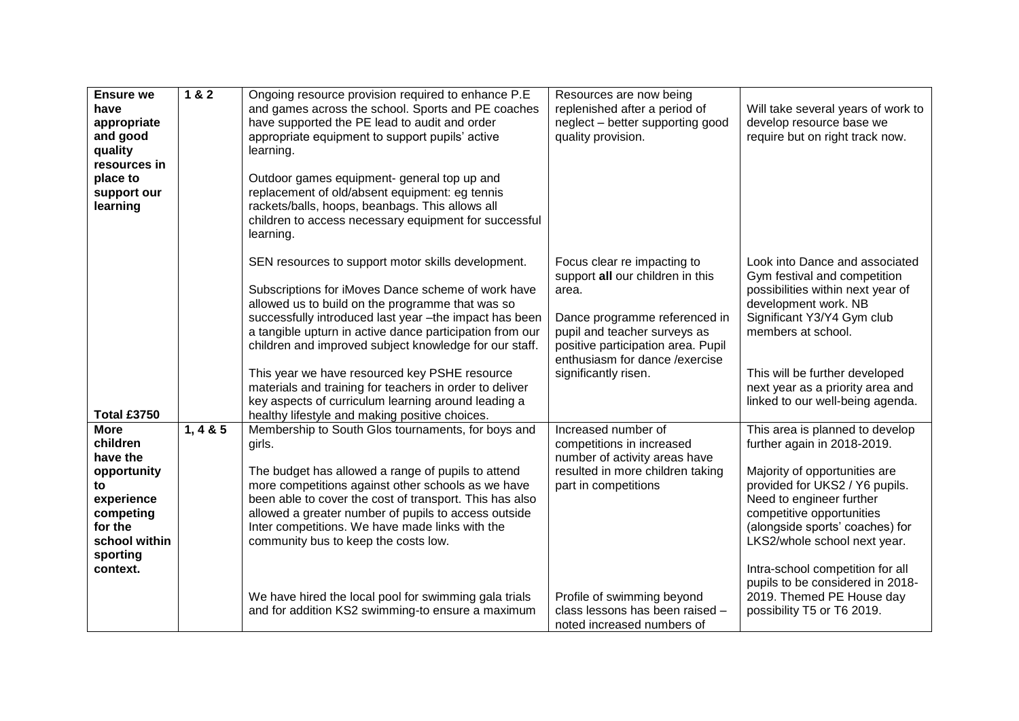| <b>Ensure we</b><br>have<br>appropriate<br>and good<br>quality<br>resources in<br>place to<br>support our<br>learning                   | 1 & 2        | Ongoing resource provision required to enhance P.E<br>and games across the school. Sports and PE coaches<br>have supported the PE lead to audit and order<br>appropriate equipment to support pupils' active<br>learning.<br>Outdoor games equipment- general top up and<br>replacement of old/absent equipment: eg tennis<br>rackets/balls, hoops, beanbags. This allows all<br>children to access necessary equipment for successful<br>learning.                                                                                                               | Resources are now being<br>replenished after a period of<br>neglect - better supporting good<br>quality provision.                                                                                                                           | Will take several years of work to<br>develop resource base we<br>require but on right track now.                                                                                                                                                                                                                                                                                                |
|-----------------------------------------------------------------------------------------------------------------------------------------|--------------|-------------------------------------------------------------------------------------------------------------------------------------------------------------------------------------------------------------------------------------------------------------------------------------------------------------------------------------------------------------------------------------------------------------------------------------------------------------------------------------------------------------------------------------------------------------------|----------------------------------------------------------------------------------------------------------------------------------------------------------------------------------------------------------------------------------------------|--------------------------------------------------------------------------------------------------------------------------------------------------------------------------------------------------------------------------------------------------------------------------------------------------------------------------------------------------------------------------------------------------|
| <b>Total £3750</b>                                                                                                                      |              | SEN resources to support motor skills development.<br>Subscriptions for iMoves Dance scheme of work have<br>allowed us to build on the programme that was so<br>successfully introduced last year -the impact has been<br>a tangible upturn in active dance participation from our<br>children and improved subject knowledge for our staff.<br>This year we have resourced key PSHE resource<br>materials and training for teachers in order to deliver<br>key aspects of curriculum learning around leading a<br>healthy lifestyle and making positive choices. | Focus clear re impacting to<br>support all our children in this<br>area.<br>Dance programme referenced in<br>pupil and teacher surveys as<br>positive participation area. Pupil<br>enthusiasm for dance / exercise<br>significantly risen.   | Look into Dance and associated<br>Gym festival and competition<br>possibilities within next year of<br>development work. NB<br>Significant Y3/Y4 Gym club<br>members at school.<br>This will be further developed<br>next year as a priority area and<br>linked to our well-being agenda.                                                                                                        |
| <b>More</b><br>children<br>have the<br>opportunity<br>to<br>experience<br>competing<br>for the<br>school within<br>sporting<br>context. | 1, 4 & 8 & 5 | Membership to South Glos tournaments, for boys and<br>girls.<br>The budget has allowed a range of pupils to attend<br>more competitions against other schools as we have<br>been able to cover the cost of transport. This has also<br>allowed a greater number of pupils to access outside<br>Inter competitions. We have made links with the<br>community bus to keep the costs low.<br>We have hired the local pool for swimming gala trials<br>and for addition KS2 swimming-to ensure a maximum                                                              | Increased number of<br>competitions in increased<br>number of activity areas have<br>resulted in more children taking<br>part in competitions<br>Profile of swimming beyond<br>class lessons has been raised -<br>noted increased numbers of | This area is planned to develop<br>further again in 2018-2019.<br>Majority of opportunities are<br>provided for UKS2 / Y6 pupils.<br>Need to engineer further<br>competitive opportunities<br>(alongside sports' coaches) for<br>LKS2/whole school next year.<br>Intra-school competition for all<br>pupils to be considered in 2018-<br>2019. Themed PE House day<br>possibility T5 or T6 2019. |